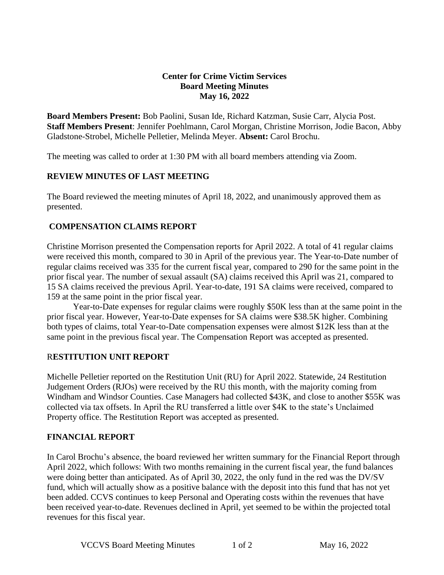### **Center for Crime Victim Services Board Meeting Minutes May 16, 2022**

**Board Members Present:** Bob Paolini, Susan Ide, Richard Katzman, Susie Carr, Alycia Post. **Staff Members Present**: Jennifer Poehlmann, Carol Morgan, Christine Morrison, Jodie Bacon, Abby Gladstone-Strobel, Michelle Pelletier, Melinda Meyer. **Absent:** Carol Brochu.

The meeting was called to order at 1:30 PM with all board members attending via Zoom.

### **REVIEW MINUTES OF LAST MEETING**

The Board reviewed the meeting minutes of April 18, 2022, and unanimously approved them as presented.

### **COMPENSATION CLAIMS REPORT**

Christine Morrison presented the Compensation reports for April 2022. A total of 41 regular claims were received this month, compared to 30 in April of the previous year. The Year-to-Date number of regular claims received was 335 for the current fiscal year, compared to 290 for the same point in the prior fiscal year. The number of sexual assault (SA) claims received this April was 21, compared to 15 SA claims received the previous April. Year-to-date, 191 SA claims were received, compared to 159 at the same point in the prior fiscal year.

Year-to-Date expenses for regular claims were roughly \$50K less than at the same point in the prior fiscal year. However, Year-to-Date expenses for SA claims were \$38.5K higher. Combining both types of claims, total Year-to-Date compensation expenses were almost \$12K less than at the same point in the previous fiscal year. The Compensation Report was accepted as presented.

### R**ESTITUTION UNIT REPORT**

Michelle Pelletier reported on the Restitution Unit (RU) for April 2022. Statewide, 24 Restitution Judgement Orders (RJOs) were received by the RU this month, with the majority coming from Windham and Windsor Counties. Case Managers had collected \$43K, and close to another \$55K was collected via tax offsets. In April the RU transferred a little over \$4K to the state's Unclaimed Property office. The Restitution Report was accepted as presented.

## **FINANCIAL REPORT**

In Carol Brochu's absence, the board reviewed her written summary for the Financial Report through April 2022, which follows: With two months remaining in the current fiscal year, the fund balances were doing better than anticipated. As of April 30, 2022, the only fund in the red was the DV/SV fund, which will actually show as a positive balance with the deposit into this fund that has not yet been added. CCVS continues to keep Personal and Operating costs within the revenues that have been received year-to-date. Revenues declined in April, yet seemed to be within the projected total revenues for this fiscal year.